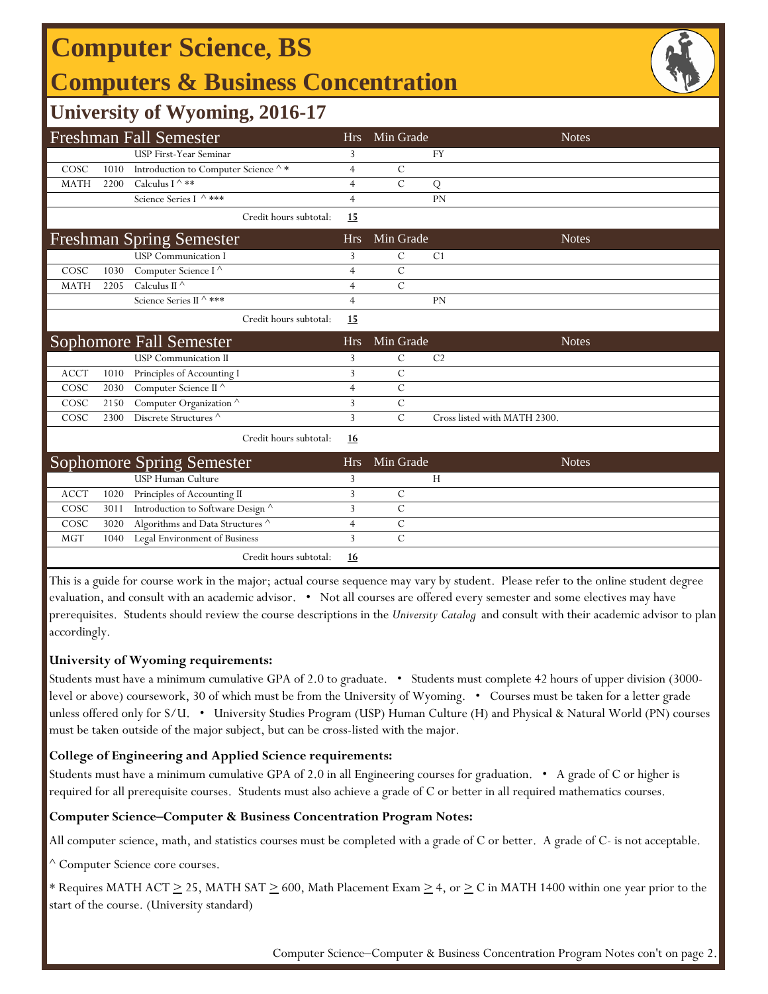# **Computer Science, BS**

### **Computers & Business Concentration**



### **University of Wyoming, 2016-17**

| <b>Freshman Fall Semester</b> |      |                                                          |                | Min Grade      | <b>Notes</b>                 |  |
|-------------------------------|------|----------------------------------------------------------|----------------|----------------|------------------------------|--|
|                               |      | <b>USP First-Year Seminar</b>                            | 3              |                | FY                           |  |
| COSC                          | 1010 | Introduction to Computer Science $\mathord{\wedge} \, *$ | $\overline{4}$ | $\mathcal{C}$  |                              |  |
| <b>MATH</b>                   | 2200 | Calculus I $\wedge$ **                                   | $\overline{4}$ | $\mathcal{C}$  | Q                            |  |
|                               |      | Science Series I ^ ***                                   | $\overline{4}$ |                | PN                           |  |
|                               |      | Credit hours subtotal:                                   | <b>15</b>      |                |                              |  |
|                               |      | <b>Freshman Spring Semester</b>                          | <b>Hrs</b>     | Min Grade      | <b>Notes</b>                 |  |
|                               |      | <b>USP</b> Communication I                               | 3              | $\mathcal{C}$  | C <sub>1</sub>               |  |
| COSC                          | 1030 | Computer Science I <sup>^</sup>                          | $\overline{4}$ | $\mathcal{C}$  |                              |  |
| <b>MATH</b>                   | 2205 | Calculus II $\wedge$                                     | 4              | $\mathcal{C}$  |                              |  |
|                               |      | Science Series II ^ ***                                  | $\overline{4}$ |                | PN                           |  |
|                               |      | Credit hours subtotal:                                   | 15             |                |                              |  |
|                               |      | <b>Sophomore Fall Semester</b>                           | <b>Hrs</b>     | Min Grade      | <b>Notes</b>                 |  |
|                               |      | <b>USP</b> Communication II                              | 3              | $\mathcal{C}$  | C <sub>2</sub>               |  |
| <b>ACCT</b>                   | 1010 | Principles of Accounting I                               | 3              | $\mathcal{C}$  |                              |  |
| COSC                          | 2030 | Computer Science II $^\wedge$                            | $\overline{4}$ | $\mathcal{C}$  |                              |  |
| COSC                          | 2150 | Computer Organization <sup>^</sup>                       | 3              | $\overline{C}$ |                              |  |
| COSC                          | 2300 | Discrete Structures <sup>^</sup>                         | 3              | $\mathcal{C}$  | Cross listed with MATH 2300. |  |
|                               |      | Credit hours subtotal:                                   | <u>16</u>      |                |                              |  |
|                               |      | <b>Sophomore Spring Semester</b>                         | <b>Hrs</b>     | Min Grade      | <b>Notes</b>                 |  |
|                               |      | <b>USP Human Culture</b>                                 | 3              |                | H                            |  |
| <b>ACCT</b>                   | 1020 | Principles of Accounting II                              | 3              | $\mathcal{C}$  |                              |  |
| COSC                          | 3011 | Introduction to Software Design ^                        | 3              | $\overline{C}$ |                              |  |
| COSC                          | 3020 | Algorithms and Data Structures $^\wedge$                 | 4              | $\mathcal{C}$  |                              |  |
| <b>MGT</b>                    | 1040 | Legal Environment of Business                            | 3              | $\mathcal{C}$  |                              |  |
|                               |      | Credit hours subtotal:                                   | <u>16</u>      |                |                              |  |

This is a guide for course work in the major; actual course sequence may vary by student. Please refer to the online student degree evaluation, and consult with an academic advisor. • Not all courses are offered every semester and some electives may have prerequisites. Students should review the course descriptions in the *University Catalog* and consult with their academic advisor to plan accordingly.

#### **University of Wyoming requirements:**

Students must have a minimum cumulative GPA of 2.0 to graduate. • Students must complete 42 hours of upper division (3000 level or above) coursework, 30 of which must be from the University of Wyoming. • Courses must be taken for a letter grade unless offered only for S/U. • University Studies Program (USP) Human Culture (H) and Physical & Natural World (PN) courses must be taken outside of the major subject, but can be cross-listed with the major.

#### **College of Engineering and Applied Science requirements:**

Students must have a minimum cumulative GPA of 2.0 in all Engineering courses for graduation. • A grade of C or higher is required for all prerequisite courses. Students must also achieve a grade of C or better in all required mathematics courses.

#### **Computer Science‒Computer & Business Concentration Program Notes:**

All computer science, math, and statistics courses must be completed with a grade of C or better. A grade of C- is not acceptable.

^ Computer Science core courses.

\* Requires MATH ACT  $\geq$  25, MATH SAT  $\geq$  600, Math Placement Exam  $\geq$  4, or  $\geq$  C in MATH 1400 within one year prior to the start of the course. (University standard)

Computer Science-Computer & Business Concentration Program Notes con't on page 2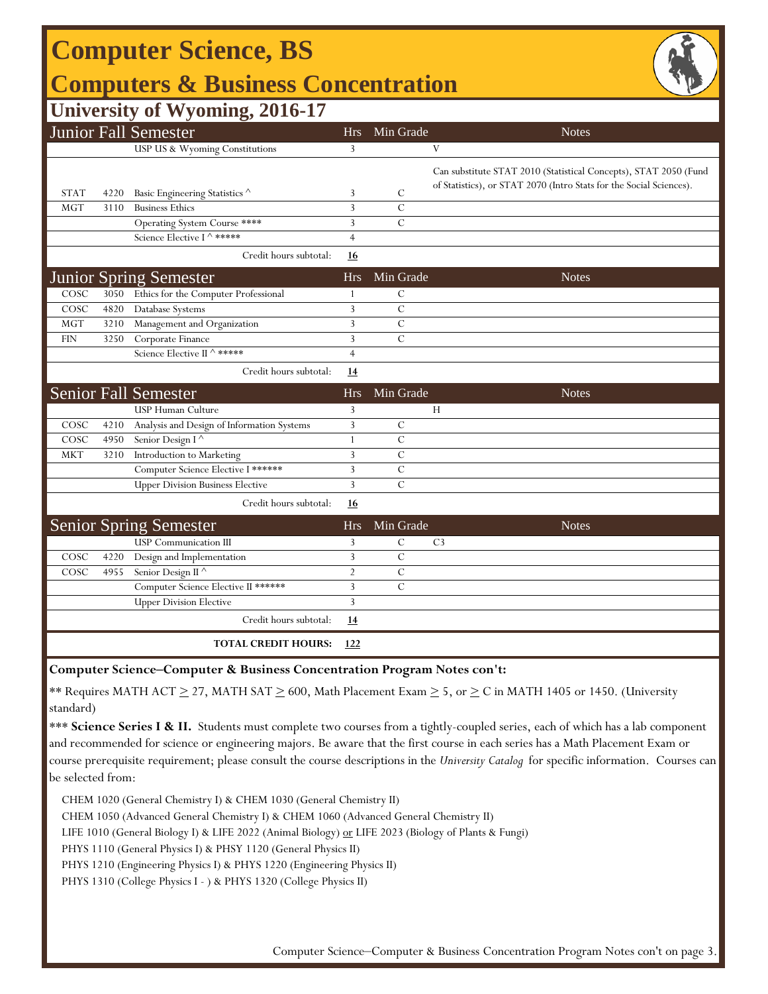| <b>Computer Science, BS</b>                                |                |                |                                                                                                                                         |  |  |  |  |  |  |  |
|------------------------------------------------------------|----------------|----------------|-----------------------------------------------------------------------------------------------------------------------------------------|--|--|--|--|--|--|--|
| <b>Computers &amp; Business Concentration</b>              |                |                |                                                                                                                                         |  |  |  |  |  |  |  |
| <b>University of Wyoming, 2016-17</b>                      |                |                |                                                                                                                                         |  |  |  |  |  |  |  |
| <b>Junior Fall Semester</b>                                | Hrs            | Min Grade      | <b>Notes</b>                                                                                                                            |  |  |  |  |  |  |  |
| USP US & Wyoming Constitutions                             | 3              |                | V                                                                                                                                       |  |  |  |  |  |  |  |
| <b>STAT</b><br>Basic Engineering Statistics ^<br>4220      | 3              | $\mathcal{C}$  | Can substitute STAT 2010 (Statistical Concepts), STAT 2050 (Fund<br>of Statistics), or STAT 2070 (Intro Stats for the Social Sciences). |  |  |  |  |  |  |  |
| <b>Business Ethics</b><br>MGT<br>3110                      | 3              | $\mathcal{C}$  |                                                                                                                                         |  |  |  |  |  |  |  |
| Operating System Course ****                               | 3              | $\mathcal{C}$  |                                                                                                                                         |  |  |  |  |  |  |  |
| Science Elective I ^ *****                                 | $\overline{4}$ |                |                                                                                                                                         |  |  |  |  |  |  |  |
| Credit hours subtotal:                                     | <u>16</u>      |                |                                                                                                                                         |  |  |  |  |  |  |  |
| <b>Junior Spring Semester</b>                              | <b>Hrs</b>     | Min Grade      | <b>Notes</b>                                                                                                                            |  |  |  |  |  |  |  |
| COSC<br>Ethics for the Computer Professional<br>3050       | 1              | $\mathcal{C}$  |                                                                                                                                         |  |  |  |  |  |  |  |
| COSC<br>4820<br>Database Systems                           | 3              | $\mathcal{C}$  |                                                                                                                                         |  |  |  |  |  |  |  |
| <b>MGT</b><br>3210<br>Management and Organization          | 3              | $\mathcal{C}$  |                                                                                                                                         |  |  |  |  |  |  |  |
| <b>FIN</b><br>3250<br>Corporate Finance                    | 3              | $\mathcal{C}$  |                                                                                                                                         |  |  |  |  |  |  |  |
| Science Elective II ^ *****                                | $\overline{4}$ |                |                                                                                                                                         |  |  |  |  |  |  |  |
| Credit hours subtotal:                                     | 14             |                |                                                                                                                                         |  |  |  |  |  |  |  |
| <b>Senior Fall Semester</b>                                | <b>Hrs</b>     | Min Grade      | <b>Notes</b>                                                                                                                            |  |  |  |  |  |  |  |
| USP Human Culture                                          | 3              |                | Н                                                                                                                                       |  |  |  |  |  |  |  |
| COSC<br>4210<br>Analysis and Design of Information Systems | 3              | $\mathcal{C}$  |                                                                                                                                         |  |  |  |  |  |  |  |
| COSC<br>Senior Design I <sup>^</sup><br>4950               | $\mathbf{1}$   | $\mathcal{C}$  |                                                                                                                                         |  |  |  |  |  |  |  |
| <b>MKT</b><br>3210<br>Introduction to Marketing            | 3              | $\mathcal{C}$  |                                                                                                                                         |  |  |  |  |  |  |  |
| Computer Science Elective I ******                         | 3              | $\overline{C}$ |                                                                                                                                         |  |  |  |  |  |  |  |
| <b>Upper Division Business Elective</b>                    | 3              | $\overline{C}$ |                                                                                                                                         |  |  |  |  |  |  |  |
| Credit hours subtotal:                                     | <u>16</u>      |                |                                                                                                                                         |  |  |  |  |  |  |  |
| <b>Senior Spring Semester</b>                              | <b>Hrs</b>     | Min Grade      | <b>Notes</b>                                                                                                                            |  |  |  |  |  |  |  |
| <b>USP</b> Communication III                               | 3              | $\mathcal{C}$  | C <sub>3</sub>                                                                                                                          |  |  |  |  |  |  |  |
| COSC<br>4220<br>Design and Implementation                  | 3              | $\mathcal{C}$  |                                                                                                                                         |  |  |  |  |  |  |  |
| COSC<br>4955<br>Senior Design II <sup>^</sup>              | $\overline{2}$ | $\mathcal{C}$  |                                                                                                                                         |  |  |  |  |  |  |  |
| Computer Science Elective II ******                        | 3              | $\overline{C}$ |                                                                                                                                         |  |  |  |  |  |  |  |
| <b>Upper Division Elective</b>                             | 3              |                |                                                                                                                                         |  |  |  |  |  |  |  |
| Credit hours subtotal:                                     | <u>14</u>      |                |                                                                                                                                         |  |  |  |  |  |  |  |
| <b>TOTAL CREDIT HOURS:</b>                                 | 122            |                |                                                                                                                                         |  |  |  |  |  |  |  |

**Computer Science‒Computer & Business Concentration Program Notes con't:**

\*\* Requires MATH ACT  $\geq$  27, MATH SAT  $\geq$  600, Math Placement Exam  $\geq$  5, or  $\geq$  C in MATH 1405 or 1450. (University standard)

\*\*\* Science Series I & II. Students must complete two courses from a tightly-coupled series, each of which has a lab component and recommended for science or engineering majors. Be aware that the first course in each series has a Math Placement Exam or course prerequisite requirement; please consult the course descriptions in the *University Catalog* for specific information. Courses can be selected from:

CHEM 1020 (General Chemistry I) & CHEM 1030 (General Chemistry II)

CHEM 1050 (Advanced General Chemistry I) & CHEM 1060 (Advanced General Chemistry II)

LIFE 1010 (General Biology I) & LIFE 2022 (Animal Biology) or LIFE 2023 (Biology of Plants & Fungi)

PHYS 1110 (General Physics I) & PHSY 1120 (General Physics II)

PHYS 1210 (Engineering Physics I) & PHYS 1220 (Engineering Physics II)

PHYS 1310 (College Physics I - ) & PHYS 1320 (College Physics II)